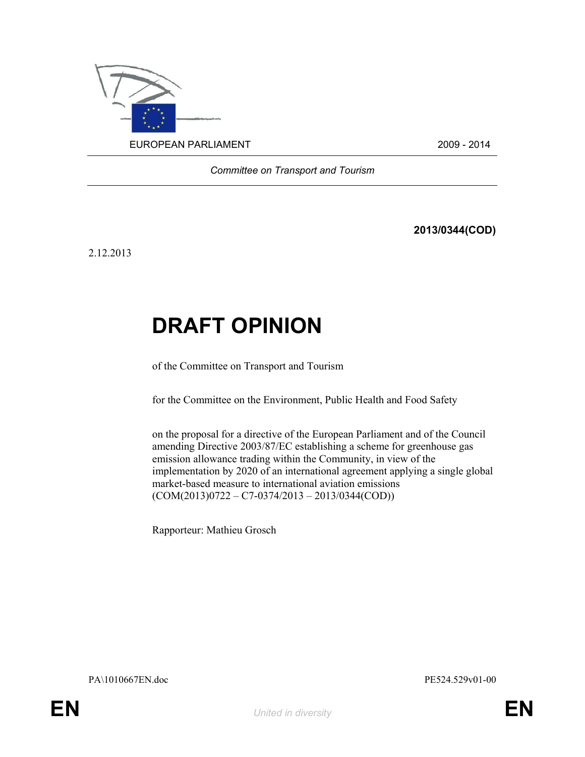

Committee on Transport and Tourism

2013/0344(COD)

2.12.2013

# DRAFT OPINION

of the Committee on Transport and Tourism

for the Committee on the Environment, Public Health and Food Safety

on the proposal for a directive of the European Parliament and of the Council amending Directive 2003/87/EC establishing a scheme for greenhouse gas emission allowance trading within the Community, in view of the implementation by 2020 of an international agreement applying a single global market-based measure to international aviation emissions  $(COM(2013)0722 - C7 - 0374/2013 - 2013/0344(COD))$ 

Rapporteur: Mathieu Grosch

PA\1010667EN.doc PE524.529v01-00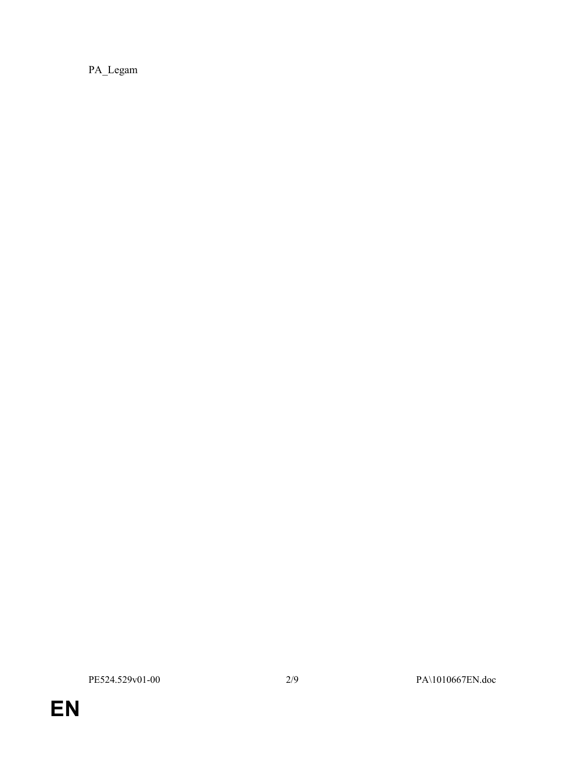PA\_Legam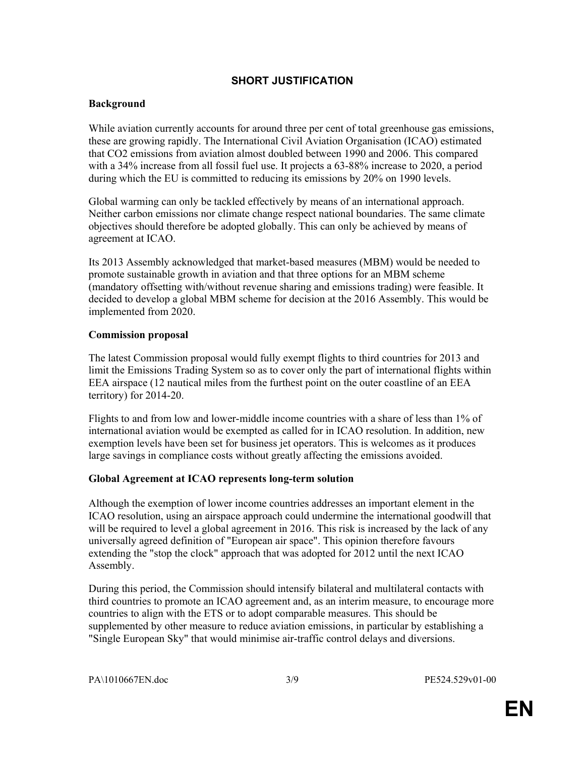# SHORT JUSTIFICATION

# Background

While aviation currently accounts for around three per cent of total greenhouse gas emissions, these are growing rapidly. The International Civil Aviation Organisation (ICAO) estimated that CO2 emissions from aviation almost doubled between 1990 and 2006. This compared with a 34% increase from all fossil fuel use. It projects a 63-88% increase to 2020, a period during which the EU is committed to reducing its emissions by 20% on 1990 levels.

Global warming can only be tackled effectively by means of an international approach. Neither carbon emissions nor climate change respect national boundaries. The same climate objectives should therefore be adopted globally. This can only be achieved by means of agreement at ICAO.

Its 2013 Assembly acknowledged that market-based measures (MBM) would be needed to promote sustainable growth in aviation and that three options for an MBM scheme (mandatory offsetting with/without revenue sharing and emissions trading) were feasible. It decided to develop a global MBM scheme for decision at the 2016 Assembly. This would be implemented from 2020.

# Commission proposal

The latest Commission proposal would fully exempt flights to third countries for 2013 and limit the Emissions Trading System so as to cover only the part of international flights within EEA airspace (12 nautical miles from the furthest point on the outer coastline of an EEA territory) for 2014-20.

Flights to and from low and lower-middle income countries with a share of less than 1% of international aviation would be exempted as called for in ICAO resolution. In addition, new exemption levels have been set for business jet operators. This is welcomes as it produces large savings in compliance costs without greatly affecting the emissions avoided.

# Global Agreement at ICAO represents long-term solution

Although the exemption of lower income countries addresses an important element in the ICAO resolution, using an airspace approach could undermine the international goodwill that will be required to level a global agreement in 2016. This risk is increased by the lack of any universally agreed definition of "European air space". This opinion therefore favours extending the "stop the clock" approach that was adopted for 2012 until the next ICAO Assembly.

During this period, the Commission should intensify bilateral and multilateral contacts with third countries to promote an ICAO agreement and, as an interim measure, to encourage more countries to align with the ETS or to adopt comparable measures. This should be supplemented by other measure to reduce aviation emissions, in particular by establishing a "Single European Sky" that would minimise air-traffic control delays and diversions.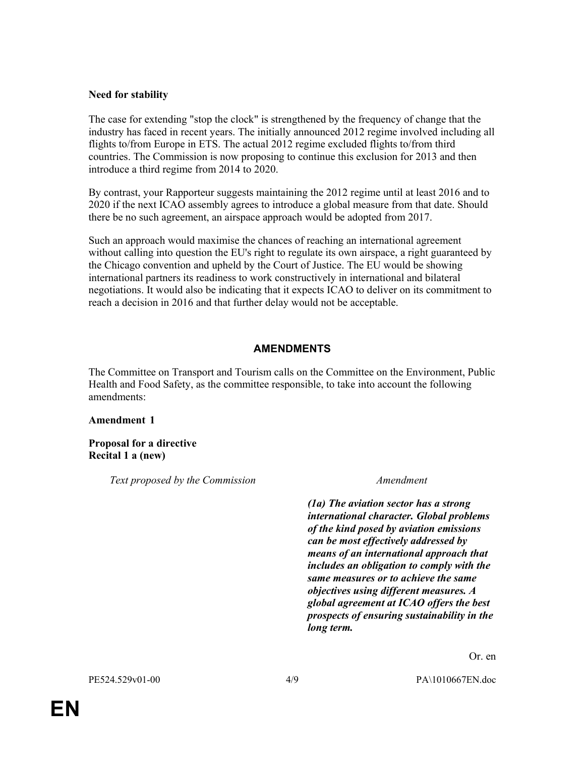## Need for stability

The case for extending "stop the clock" is strengthened by the frequency of change that the industry has faced in recent years. The initially announced 2012 regime involved including all flights to/from Europe in ETS. The actual 2012 regime excluded flights to/from third countries. The Commission is now proposing to continue this exclusion for 2013 and then introduce a third regime from 2014 to 2020.

By contrast, your Rapporteur suggests maintaining the 2012 regime until at least 2016 and to 2020 if the next ICAO assembly agrees to introduce a global measure from that date. Should there be no such agreement, an airspace approach would be adopted from 2017.

Such an approach would maximise the chances of reaching an international agreement without calling into question the EU's right to regulate its own airspace, a right guaranteed by the Chicago convention and upheld by the Court of Justice. The EU would be showing international partners its readiness to work constructively in international and bilateral negotiations. It would also be indicating that it expects ICAO to deliver on its commitment to reach a decision in 2016 and that further delay would not be acceptable.

### AMENDMENTS

The Committee on Transport and Tourism calls on the Committee on the Environment, Public Health and Food Safety, as the committee responsible, to take into account the following amendments:

### Amendment 1

Proposal for a directive Recital 1 a (new)

Text proposed by the Commission Messenger Amendment

(1a) The aviation sector has a strong international character. Global problems of the kind posed by aviation emissions can be most effectively addressed by means of an international approach that includes an obligation to comply with the same measures or to achieve the same objectives using different measures. A global agreement at ICAO offers the best prospects of ensuring sustainability in the long term.

Or. en

PE524.529v01-00 4/9 PA\1010667EN.doc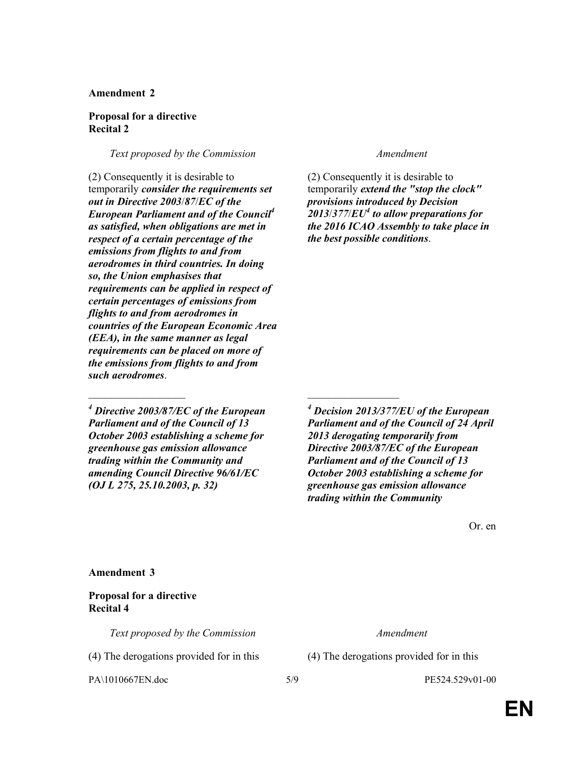### Amendment 2

### Proposal for a directive Recital 2

Text proposed by the Commission Text proposed by the Commission

(2) Consequently it is desirable to temporarily consider the requirements set out in Directive 2003/87/EC of the European Parliament and of the Council $<sup>4</sup>$ </sup> as satisfied, when obligations are met in respect of a certain percentage of the emissions from flights to and from aerodromes in third countries. In doing so, the Union emphasises that requirements can be applied in respect of certain percentages of emissions from flights to and from aerodromes in countries of the European Economic Area (EEA), in the same manner as legal requirements can be placed on more of the emissions from flights to and from such aerodromes.

 $^{4}$  Directive 2003/87/EC of the European Parliament and of the Council of 13 October 2003 establishing a scheme for greenhouse gas emission allowance trading within the Community and amending Council Directive 96/61/EC (OJ L 275, 25.10.2003, p. 32)

\_\_\_\_\_\_\_\_\_\_\_\_\_\_\_\_\_\_ \_\_\_\_\_\_\_\_\_\_\_\_\_\_\_\_\_

(2) Consequently it is desirable to temporarily extend the "stop the clock" provisions introduced by Decision  $2013/377$ / $EU<sup>4</sup>$  to allow preparations for the 2016 ICAO Assembly to take place in the best possible conditions.

4 Decision 2013/377/EU of the European Parliament and of the Council of 24 April 2013 derogating temporarily from Directive 2003/87/EC of the European Parliament and of the Council of 13 October 2003 establishing a scheme for greenhouse gas emission allowance trading within the Community

Or. en

Amendment 3

Proposal for a directive Recital 4

Text proposed by the Commission Text proposed by the Commission

(4) The derogations provided for in this (4) The derogations provided for in this

PA\1010667EN.doc 5/9 PE524.529v01-00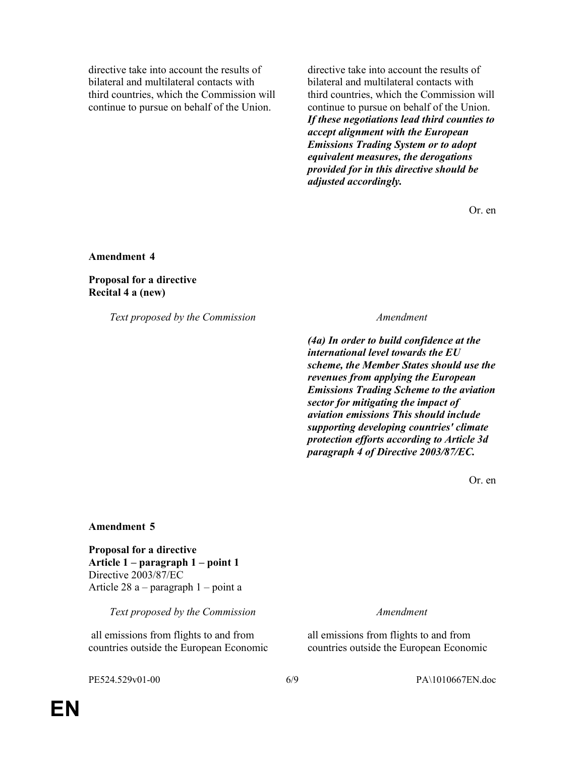directive take into account the results of bilateral and multilateral contacts with third countries, which the Commission will continue to pursue on behalf of the Union.

directive take into account the results of bilateral and multilateral contacts with third countries, which the Commission will continue to pursue on behalf of the Union. If these negotiations lead third counties to accept alignment with the European Emissions Trading System or to adopt equivalent measures, the derogations provided for in this directive should be adjusted accordingly.

Or. en

Amendment 4

Proposal for a directive Recital 4 a (new)

Text proposed by the Commission Messenger Amendment

(4a) In order to build confidence at the international level towards the EU scheme, the Member States should use the revenues from applying the European Emissions Trading Scheme to the aviation sector for mitigating the impact of aviation emissions This should include supporting developing countries' climate protection efforts according to Article 3d paragraph 4 of Directive 2003/87/EC.

Or. en

### Amendment 5

Proposal for a directive Article 1 – paragraph 1 – point 1 Directive 2003/87/EC Article 28 a – paragraph 1 – point a

Text proposed by the Commission Text proposed by the Commission

 all emissions from flights to and from countries outside the European Economic

all emissions from flights to and from countries outside the European Economic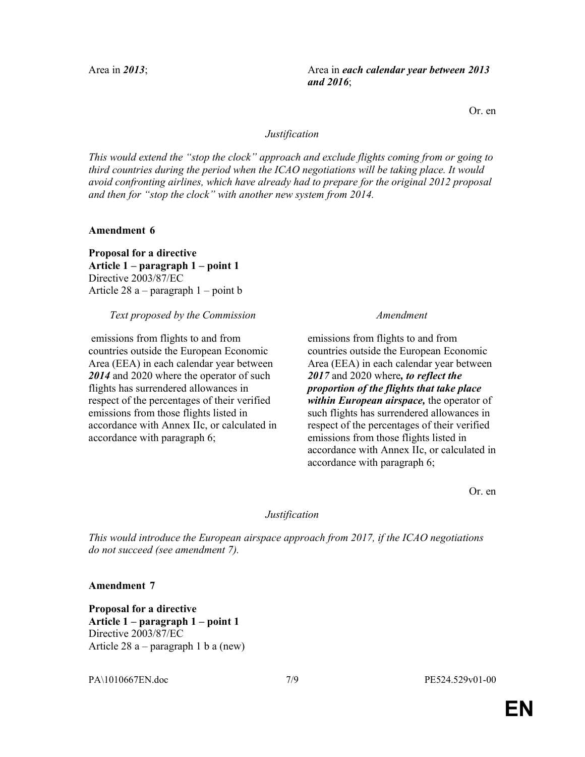Area in 2013; Area in each calendar year between 2013 and 2016;

Or. en

### Justification

This would extend the "stop the clock" approach and exclude flights coming from or going to third countries during the period when the ICAO negotiations will be taking place. It would avoid confronting airlines, which have already had to prepare for the original 2012 proposal and then for "stop the clock" with another new system from 2014.

Amendment 6

Proposal for a directive Article 1 – paragraph 1 – point 1 Directive 2003/87/EC Article 28 a – paragraph 1 – point b

### Text proposed by the Commission Messenger Amendment

 emissions from flights to and from countries outside the European Economic Area (EEA) in each calendar year between 2014 and 2020 where the operator of such flights has surrendered allowances in respect of the percentages of their verified emissions from those flights listed in accordance with Annex IIc, or calculated in accordance with paragraph 6;

emissions from flights to and from countries outside the European Economic Area (EEA) in each calendar year between 2017 and 2020 where, to reflect the proportion of the flights that take place within European airspace, the operator of such flights has surrendered allowances in respect of the percentages of their verified emissions from those flights listed in accordance with Annex IIc, or calculated in accordance with paragraph 6;

Or. en

### Justification

This would introduce the European airspace approach from 2017, if the ICAO negotiations do not succeed (see amendment 7).

Amendment 7

Proposal for a directive Article 1 – paragraph 1 – point 1 Directive 2003/87/EC Article 28 a – paragraph 1 b a (new)

PA\1010667EN.doc 7/9 PE524.529v01-00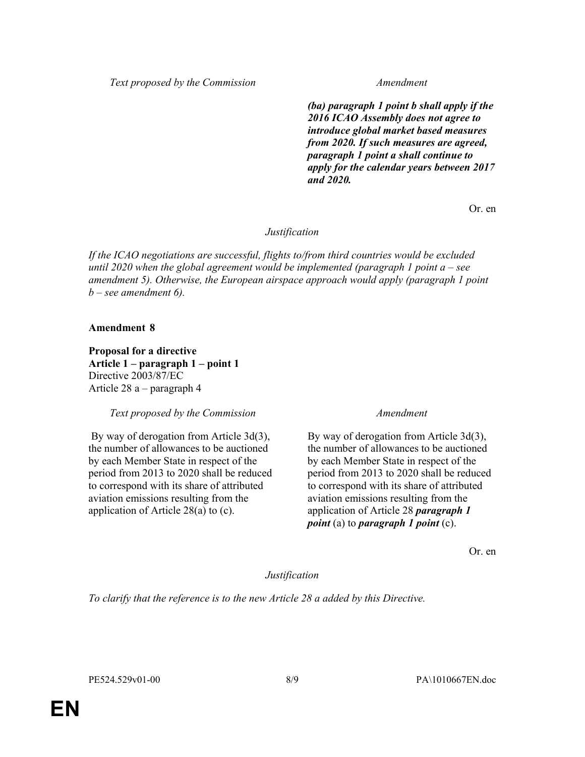Text proposed by the Commission Messachuset Amendment

(ba) paragraph 1 point b shall apply if the 2016 ICAO Assembly does not agree to introduce global market based measures from 2020. If such measures are agreed, paragraph 1 point a shall continue to apply for the calendar years between 2017 and 2020.

Or. en

Justification

If the ICAO negotiations are successful, flights to/from third countries would be excluded until 2020 when the global agreement would be implemented (paragraph 1 point  $a$  – see amendment 5). Otherwise, the European airspace approach would apply (paragraph 1 point  $b$  – see amendment 6).

### Amendment 8

Proposal for a directive Article 1 – paragraph 1 – point 1 Directive 2003/87/EC Article 28 a – paragraph 4

Text proposed by the Commission Messachuset Amendment

 By way of derogation from Article 3d(3), the number of allowances to be auctioned by each Member State in respect of the period from 2013 to 2020 shall be reduced to correspond with its share of attributed aviation emissions resulting from the application of Article 28(a) to (c).

By way of derogation from Article 3d(3), the number of allowances to be auctioned by each Member State in respect of the period from 2013 to 2020 shall be reduced to correspond with its share of attributed aviation emissions resulting from the application of Article 28 *paragraph 1 point* (a) to *paragraph* 1 *point* (c).

Or. en

Justification

To clarify that the reference is to the new Article 28 a added by this Directive.